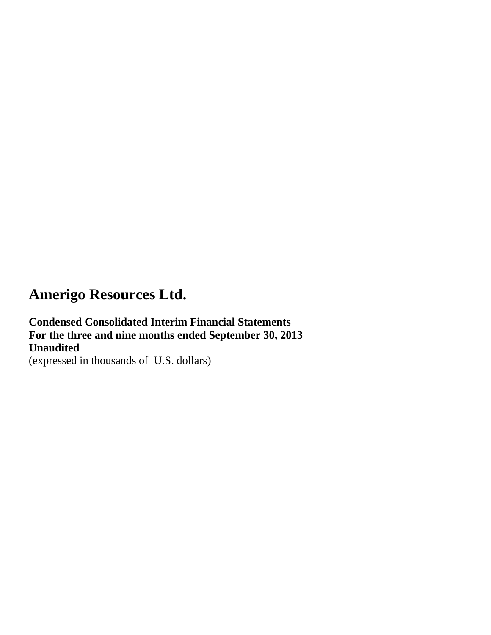**Condensed Consolidated Interim Financial Statements For the three and nine months ended September 30, 2013 Unaudited** (expressed in thousands of U.S. dollars)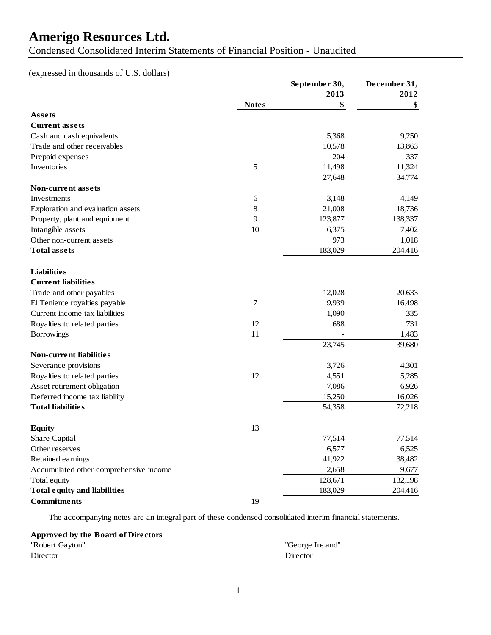Condensed Consolidated Interim Statements of Financial Position - Unaudited

(expressed in thousands of U.S. dollars)

|                                        |              | September 30, | December 31, |
|----------------------------------------|--------------|---------------|--------------|
|                                        |              | 2013          | 2012         |
|                                        | <b>Notes</b> | \$            | \$           |
| Assets                                 |              |               |              |
| <b>Current assets</b>                  |              |               |              |
| Cash and cash equivalents              |              | 5,368         | 9,250        |
| Trade and other receivables            |              | 10,578        | 13,863       |
| Prepaid expenses                       |              | 204           | 337          |
| Inventories                            | 5            | 11,498        | 11,324       |
|                                        |              | 27,648        | 34,774       |
| Non-current assets                     |              |               |              |
| Investments                            | 6            | 3,148         | 4,149        |
| Exploration and evaluation assets      | 8            | 21,008        | 18,736       |
| Property, plant and equipment          | 9            | 123,877       | 138,337      |
| Intangible assets                      | 10           | 6,375         | 7,402        |
| Other non-current assets               |              | 973           | 1,018        |
| <b>Total assets</b>                    |              | 183,029       | 204,416      |
| <b>Liabilities</b>                     |              |               |              |
| <b>Current liabilities</b>             |              |               |              |
| Trade and other payables               |              | 12,028        | 20,633       |
| El Teniente royalties payable          | 7            | 9,939         | 16,498       |
| Current income tax liabilities         |              | 1,090         | 335          |
| Royalties to related parties           | 12           | 688           | 731          |
| Borrowings                             | 11           |               | 1,483        |
|                                        |              | 23,745        | 39,680       |
| <b>Non-current liabilities</b>         |              |               |              |
| Severance provisions                   |              | 3,726         | 4,301        |
| Royalties to related parties           | 12           | 4,551         | 5,285        |
| Asset retirement obligation            |              | 7,086         | 6,926        |
| Deferred income tax liability          |              | 15,250        | 16,026       |
| <b>Total liabilities</b>               |              | 54,358        | 72,218       |
| <b>Equity</b>                          | 13           |               |              |
| Share Capital                          |              | 77,514        | 77,514       |
| Other reserves                         |              | 6,577         | 6,525        |
| Retained earnings                      |              | 41,922        | 38,482       |
| Accumulated other comprehensive income |              | 2,658         | 9,677        |
| Total equity                           |              | 128,671       | 132,198      |
| <b>Total equity and liabilities</b>    |              | 183,029       | 204,416      |
| <b>Commitments</b>                     | 19           |               |              |
|                                        |              |               |              |

The accompanying notes are an integral part of these condensed consolidated interim financial statements.

#### **Approved by the Board of Directors**

| "Robert Gayton" | "George  |
|-----------------|----------|
| Director        | Director |

"George Ireland"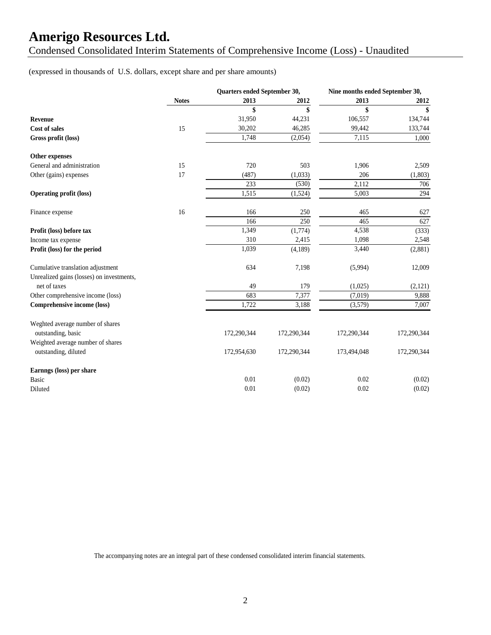Condensed Consolidated Interim Statements of Comprehensive Income (Loss) - Unaudited

(expressed in thousands of U.S. dollars, except share and per share amounts)

|                                                                                | Quarters ended September 30, |             | Nine months ended September 30, |             |             |
|--------------------------------------------------------------------------------|------------------------------|-------------|---------------------------------|-------------|-------------|
|                                                                                | <b>Notes</b>                 | 2013        | 2012                            | 2013        | 2012        |
|                                                                                |                              | \$          | \$                              | \$          | \$          |
| <b>Revenue</b>                                                                 |                              | 31,950      | 44,231                          | 106,557     | 134,744     |
| <b>Cost of sales</b>                                                           | 15                           | 30,202      | 46,285                          | 99,442      | 133,744     |
| Gross profit (loss)                                                            |                              | 1,748       | (2,054)                         | 7,115       | 1,000       |
| Other expenses                                                                 |                              |             |                                 |             |             |
| General and administration                                                     | 15                           | 720         | 503                             | 1,906       | 2,509       |
| Other (gains) expenses                                                         | 17                           | (487)       | (1,033)                         | 206         | (1,803)     |
|                                                                                |                              | 233         | (530)                           | 2,112       | 706         |
| <b>Operating profit (loss)</b>                                                 |                              | 1,515       | (1,524)                         | 5,003       | 294         |
| Finance expense                                                                | 16                           | 166         | 250                             | 465         | 627         |
|                                                                                |                              | 166         | 250                             | 465         | 627         |
| Profit (loss) before tax                                                       |                              | 1,349       | (1,774)                         | 4,538       | (333)       |
| Income tax expense                                                             |                              | 310         | 2,415                           | 1,098       | 2,548       |
| Profit (loss) for the period                                                   |                              | 1,039       | (4,189)                         | 3,440       | (2,881)     |
| Cumulative translation adjustment<br>Unrealized gains (losses) on investments, |                              | 634         | 7,198                           | (5,994)     | 12,009      |
| net of taxes                                                                   |                              | 49          | 179                             | (1,025)     | (2,121)     |
| Other comprehensive income (loss)                                              |                              | 683         | 7,377                           | (7,019)     | 9,888       |
| Comprehensive income (loss)                                                    |                              | 1,722       | 3,188                           | (3,579)     | 7,007       |
| Weghted average number of shares<br>outstanding, basic                         |                              | 172,290,344 | 172,290,344                     | 172,290,344 | 172,290,344 |
| Weighted average number of shares<br>outstanding, diluted                      |                              | 172,954,630 | 172,290,344                     | 173,494,048 | 172,290,344 |
| Earnngs (loss) per share                                                       |                              |             |                                 |             |             |
| <b>Basic</b>                                                                   |                              | 0.01        | (0.02)                          | 0.02        | (0.02)      |
| Diluted                                                                        |                              | 0.01        | (0.02)                          | 0.02        | (0.02)      |

The accompanying notes are an integral part of these condensed consolidated interim financial statements.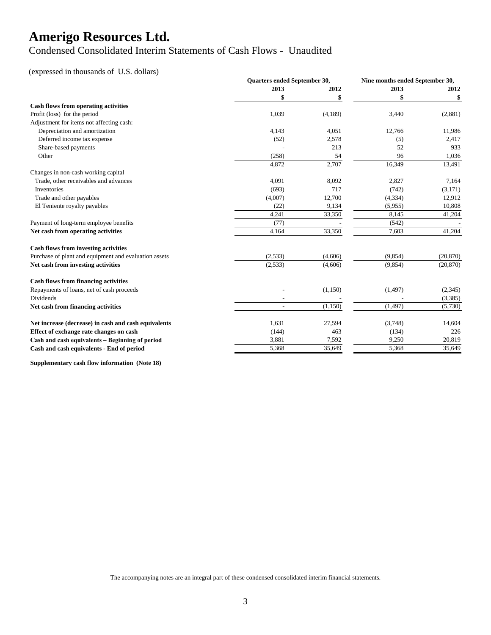Condensed Consolidated Interim Statements of Cash Flows - Unaudited

#### (expressed in thousands of U.S. dollars)

|                                                       | Quarters ended September 30, |         | Nine months ended September 30, |           |
|-------------------------------------------------------|------------------------------|---------|---------------------------------|-----------|
|                                                       | 2013                         | 2012    | 2013                            | 2012      |
|                                                       |                              | \$      | \$                              | \$        |
| Cash flows from operating activities                  |                              |         |                                 |           |
| Profit (loss) for the period                          | 1,039                        | (4,189) | 3,440                           | (2,881)   |
| Adjustment for items not affecting cash:              |                              |         |                                 |           |
| Depreciation and amortization                         | 4,143                        | 4,051   | 12,766                          | 11,986    |
| Deferred income tax expense                           | (52)                         | 2,578   | (5)                             | 2,417     |
| Share-based payments                                  |                              | 213     | 52                              | 933       |
| Other                                                 | (258)                        | 54      | 96                              | 1,036     |
|                                                       | 4,872                        | 2,707   | 16,349                          | 13,491    |
| Changes in non-cash working capital                   |                              |         |                                 |           |
| Trade, other receivables and advances                 | 4,091                        | 8,092   | 2,827                           | 7,164     |
| Inventories                                           | (693)                        | 717     | (742)                           | (3,171)   |
| Trade and other payables                              | (4,007)                      | 12,700  | (4, 334)                        | 12,912    |
| El Teniente royalty payables                          | (22)                         | 9,134   | (5,955)                         | 10,808    |
|                                                       | 4,241                        | 33,350  | 8,145                           | 41,204    |
| Payment of long-term employee benefits                | (77)                         |         | (542)                           |           |
| Net cash from operating activities                    | 4,164                        | 33,350  | 7,603                           | 41,204    |
| <b>Cash flows from investing activities</b>           |                              |         |                                 |           |
| Purchase of plant and equipment and evaluation assets | (2,533)                      | (4,606) | (9, 854)                        | (20, 870) |
| Net cash from investing activities                    | (2,533)                      | (4,606) | (9, 854)                        | (20, 870) |
| <b>Cash flows from financing activities</b>           |                              |         |                                 |           |
| Repayments of loans, net of cash proceeds             |                              | (1,150) | (1, 497)                        | (2,345)   |
| Dividends                                             |                              |         |                                 | (3,385)   |
| Net cash from financing activities                    |                              | (1,150) | (1, 497)                        | (5,730)   |
| Net increase (decrease) in cash and cash equivalents  | 1,631                        | 27,594  | (3,748)                         | 14,604    |
| Effect of exchange rate changes on cash               | (144)                        | 463     | (134)                           | 226       |
| Cash and cash equivalents - Beginning of period       | 3,881                        | 7,592   | 9,250                           | 20,819    |
| Cash and cash equivalents - End of period             | 5,368                        | 35,649  | 5,368                           | 35,649    |

**Supplementary cash flow information (Note 18)**

The accompanying notes are an integral part of these condensed consolidated interim financial statements.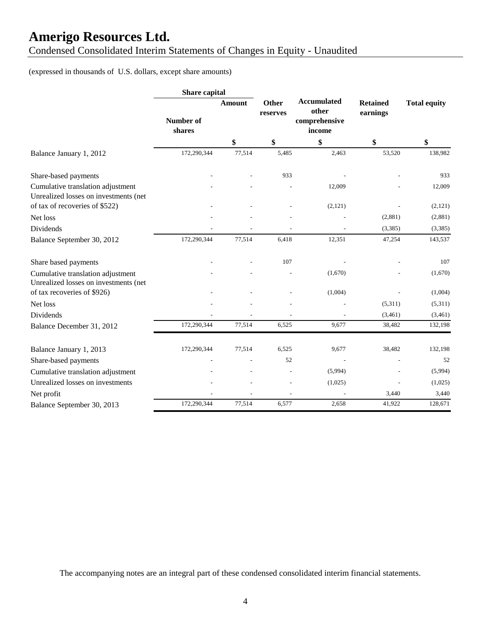Condensed Consolidated Interim Statements of Changes in Equity - Unaudited

#### (expressed in thousands of U.S. dollars, except share amounts)

|                                                                            | Share capital              |        |                          |                                                        |                             |                     |
|----------------------------------------------------------------------------|----------------------------|--------|--------------------------|--------------------------------------------------------|-----------------------------|---------------------|
|                                                                            | <b>Number of</b><br>shares | Amount | <b>Other</b><br>reserves | <b>Accumulated</b><br>other<br>comprehensive<br>income | <b>Retained</b><br>earnings | <b>Total equity</b> |
|                                                                            |                            | \$     | \$                       | \$                                                     | \$                          | \$                  |
| Balance January 1, 2012                                                    | 172,290,344                | 77,514 | 5,485                    | 2,463                                                  | 53,520                      | 138,982             |
| Share-based payments                                                       |                            |        | 933                      |                                                        |                             | 933                 |
| Cumulative translation adjustment<br>Unrealized losses on investments (net |                            |        |                          | 12,009                                                 |                             | 12,009              |
| of tax of recoveries of \$522)                                             |                            |        |                          | (2,121)                                                |                             | (2,121)             |
| Net loss                                                                   |                            |        |                          |                                                        | (2,881)                     | (2,881)             |
| Dividends                                                                  |                            |        |                          |                                                        | (3,385)                     | (3,385)             |
| Balance September 30, 2012                                                 | 172,290,344                | 77,514 | 6,418                    | 12,351                                                 | 47,254                      | 143,537             |
| Share based payments                                                       |                            |        | 107                      |                                                        |                             | 107                 |
| Cumulative translation adjustment<br>Unrealized losses on investments (net |                            |        |                          | (1,670)                                                |                             | (1,670)             |
| of tax recoveries of \$926)                                                |                            |        |                          | (1,004)                                                |                             | (1,004)             |
| Net loss                                                                   |                            |        |                          |                                                        | (5,311)                     | (5,311)             |
| <b>Dividends</b>                                                           |                            |        |                          |                                                        | (3,461)                     | (3,461)             |
| Balance December 31, 2012                                                  | 172,290,344                | 77,514 | 6,525                    | 9,677                                                  | 38,482                      | 132,198             |
| Balance January 1, 2013                                                    | 172,290,344                | 77,514 | 6,525                    | 9,677                                                  | 38,482                      | 132,198             |
| Share-based payments                                                       |                            |        | 52                       |                                                        |                             | 52                  |
| Cumulative translation adjustment                                          |                            |        |                          | (5,994)                                                |                             | (5,994)             |
| Unrealized losses on investments                                           |                            |        |                          | (1,025)                                                |                             | (1,025)             |
| Net profit                                                                 |                            |        |                          |                                                        | 3,440                       | 3,440               |
| Balance September 30, 2013                                                 | 172,290,344                | 77,514 | 6,577                    | 2,658                                                  | 41,922                      | 128,671             |

The accompanying notes are an integral part of these condensed consolidated interim financial statements.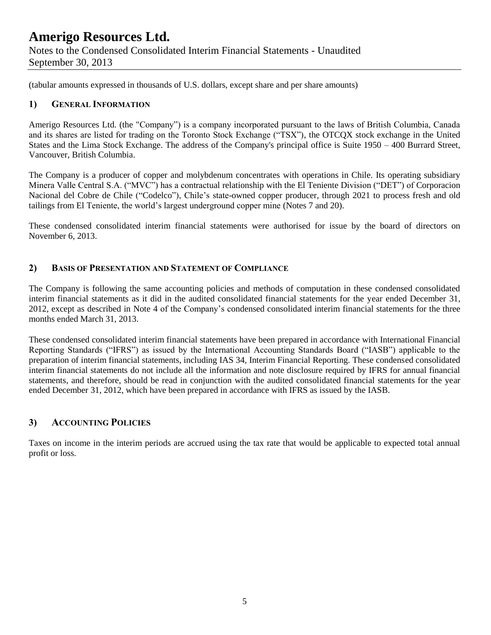(tabular amounts expressed in thousands of U.S. dollars, except share and per share amounts)

#### **1) GENERAL INFORMATION**

Amerigo Resources Ltd. (the "Company") is a company incorporated pursuant to the laws of British Columbia, Canada and its shares are listed for trading on the Toronto Stock Exchange ("TSX"), the OTCQX stock exchange in the United States and the Lima Stock Exchange. The address of the Company's principal office is Suite 1950 – 400 Burrard Street, Vancouver, British Columbia.

The Company is a producer of copper and molybdenum concentrates with operations in Chile. Its operating subsidiary Minera Valle Central S.A. ("MVC") has a contractual relationship with the El Teniente Division ("DET") of Corporacion Nacional del Cobre de Chile ("Codelco"), Chile's state-owned copper producer, through 2021 to process fresh and old tailings from El Teniente, the world's largest underground copper mine (Notes 7 and 20).

These condensed consolidated interim financial statements were authorised for issue by the board of directors on November 6, 2013.

#### **2) BASIS OF PRESENTATION AND STATEMENT OF COMPLIANCE**

The Company is following the same accounting policies and methods of computation in these condensed consolidated interim financial statements as it did in the audited consolidated financial statements for the year ended December 31, 2012, except as described in Note 4 of the Company's condensed consolidated interim financial statements for the three months ended March 31, 2013.

These condensed consolidated interim financial statements have been prepared in accordance with International Financial Reporting Standards ("IFRS") as issued by the International Accounting Standards Board ("IASB") applicable to the preparation of interim financial statements, including IAS 34, Interim Financial Reporting. These condensed consolidated interim financial statements do not include all the information and note disclosure required by IFRS for annual financial statements, and therefore, should be read in conjunction with the audited consolidated financial statements for the year ended December 31, 2012, which have been prepared in accordance with IFRS as issued by the IASB.

#### **3) ACCOUNTING POLICIES**

Taxes on income in the interim periods are accrued using the tax rate that would be applicable to expected total annual profit or loss.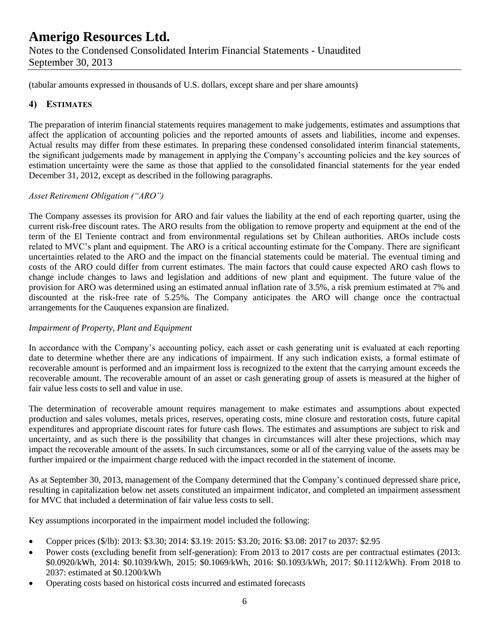(tabular amounts expressed in thousands of U.S. dollars, except share and per share amounts)

#### **4) ESTIMATES**

The preparation of interim financial statements requires management to make judgements, estimates and assumptions that affect the application of accounting policies and the reported amounts of assets and liabilities, income and expenses. Actual results may differ from these estimates. In preparing these condensed consolidated interim financial statements, the significant judgements made by management in applying the Company's accounting policies and the key sources of estimation uncertainty were the same as those that applied to the consolidated financial statements for the year ended December 31, 2012, except as described in the following paragraphs.

#### *Asset Retirement Obligation ("ARO")*

The Company assesses its provision for ARO and fair values the liability at the end of each reporting quarter, using the current risk-free discount rates. The ARO results from the obligation to remove property and equipment at the end of the term of the El Teniente contract and from environmental regulations set by Chilean authorities. AROs include costs related to MVC's plant and equipment. The ARO is a critical accounting estimate for the Company. There are significant uncertainties related to the ARO and the impact on the financial statements could be material. The eventual timing and costs of the ARO could differ from current estimates. The main factors that could cause expected ARO cash flows to change include changes to laws and legislation and additions of new plant and equipment. The future value of the provision for ARO was determined using an estimated annual inflation rate of 3.5%, a risk premium estimated at 7% and discounted at the risk-free rate of 5.25%. The Company anticipates the ARO will change once the contractual arrangements for the Cauquenes expansion are finalized.

#### *Impairment of Property, Plant and Equipment*

In accordance with the Company's accounting policy, each asset or cash generating unit is evaluated at each reporting date to determine whether there are any indications of impairment. If any such indication exists, a formal estimate of recoverable amount is performed and an impairment loss is recognized to the extent that the carrying amount exceeds the recoverable amount. The recoverable amount of an asset or cash generating group of assets is measured at the higher of fair value less costs to sell and value in use.

The determination of recoverable amount requires management to make estimates and assumptions about expected production and sales volumes, metals prices, reserves, operating costs, mine closure and restoration costs, future capital expenditures and appropriate discount rates for future cash flows. The estimates and assumptions are subject to risk and uncertainty, and as such there is the possibility that changes in circumstances will alter these projections, which may impact the recoverable amount of the assets. In such circumstances, some or all of the carrying value of the assets may be further impaired or the impairment charge reduced with the impact recorded in the statement of income.

As at September 30, 2013, management of the Company determined that the Company's continued depressed share price, resulting in capitalization below net assets constituted an impairment indicator, and completed an impairment assessment for MVC that included a determination of fair value less costs to sell.

Key assumptions incorporated in the impairment model included the following:

- Copper prices (\$/lb): 2013: \$3.30; 2014: \$3.19: 2015: \$3.20; 2016: \$3.08: 2017 to 2037: \$2.95
- Power costs (excluding benefit from self-generation): From 2013 to 2017 costs are per contractual estimates (2013: \$0.0920/kWh, 2014: \$0.1039/kWh, 2015: \$0.1069/kWh, 2016: \$0.1093/kWh, 2017: \$0.1112/kWh). From 2018 to 2037: estimated at \$0.1200/kWh
- Operating costs based on historical costs incurred and estimated forecasts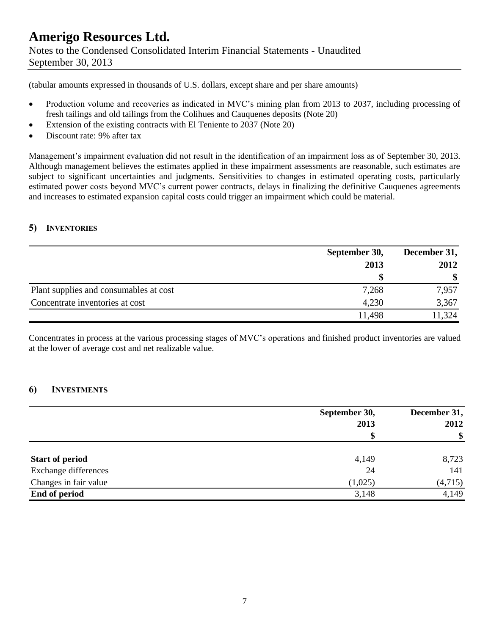September 30, 2013

(tabular amounts expressed in thousands of U.S. dollars, except share and per share amounts)

- Production volume and recoveries as indicated in MVC's mining plan from 2013 to 2037, including processing of fresh tailings and old tailings from the Colihues and Cauquenes deposits (Note 20)
- Extension of the existing contracts with El Teniente to 2037 (Note 20)
- Discount rate: 9% after tax

Management's impairment evaluation did not result in the identification of an impairment loss as of September 30, 2013. Although management believes the estimates applied in these impairment assessments are reasonable, such estimates are subject to significant uncertainties and judgments. Sensitivities to changes in estimated operating costs, particularly estimated power costs beyond MVC's current power contracts, delays in finalizing the definitive Cauquenes agreements and increases to estimated expansion capital costs could trigger an impairment which could be material.

#### **5) INVENTORIES**

|                                        | September 30, | December 31,          |  |
|----------------------------------------|---------------|-----------------------|--|
|                                        | 2013          | 2012<br>$\mathbf{\$}$ |  |
|                                        |               |                       |  |
| Plant supplies and consumables at cost | 7,268         | 7,957                 |  |
| Concentrate inventories at cost        | 4,230         | 3,367                 |  |
|                                        | 11,498        | 11,324                |  |

Concentrates in process at the various processing stages of MVC's operations and finished product inventories are valued at the lower of average cost and net realizable value.

#### **6) INVESTMENTS**

|                        | September 30, | December 31,  |  |
|------------------------|---------------|---------------|--|
|                        | 2013          | 2012          |  |
|                        | \$            | $\mathbf{\$}$ |  |
| <b>Start of period</b> | 4,149         | 8,723         |  |
| Exchange differences   | 24            | 141           |  |
| Changes in fair value  | (1,025)       | (4,715)       |  |
| End of period          | 3,148         | 4,149         |  |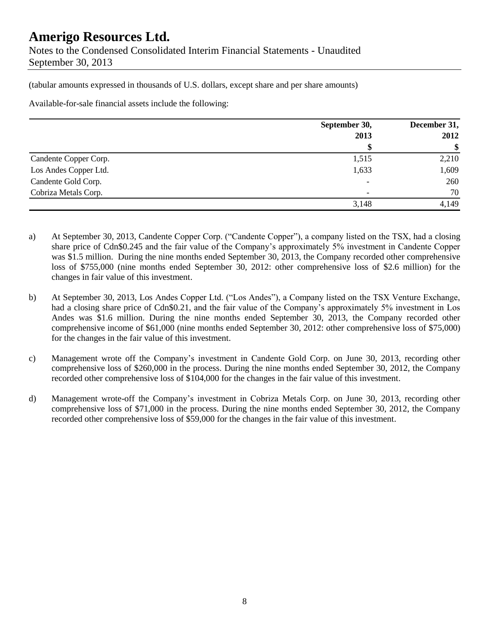(tabular amounts expressed in thousands of U.S. dollars, except share and per share amounts)

Available-for-sale financial assets include the following:

|                       | September 30,            | December 31,<br>2012 |  |
|-----------------------|--------------------------|----------------------|--|
|                       | 2013                     |                      |  |
|                       |                          | \$                   |  |
| Candente Copper Corp. | 1,515                    | 2,210                |  |
| Los Andes Copper Ltd. | 1,633                    | 1,609                |  |
| Candente Gold Corp.   | $\qquad \qquad$          | 260                  |  |
| Cobriza Metals Corp.  | $\overline{\phantom{a}}$ | 70                   |  |
|                       | 3,148                    | 4,149                |  |

a) At September 30, 2013, Candente Copper Corp. ("Candente Copper"), a company listed on the TSX, had a closing share price of Cdn\$0.245 and the fair value of the Company's approximately 5% investment in Candente Copper was \$1.5 million. During the nine months ended September 30, 2013, the Company recorded other comprehensive loss of \$755,000 (nine months ended September 30, 2012: other comprehensive loss of \$2.6 million) for the changes in fair value of this investment.

- b) At September 30, 2013, Los Andes Copper Ltd. ("Los Andes"), a Company listed on the TSX Venture Exchange, had a closing share price of Cdn\$0.21, and the fair value of the Company's approximately 5% investment in Los Andes was \$1.6 million. During the nine months ended September 30, 2013, the Company recorded other comprehensive income of \$61,000 (nine months ended September 30, 2012: other comprehensive loss of \$75,000) for the changes in the fair value of this investment.
- c) Management wrote off the Company's investment in Candente Gold Corp. on June 30, 2013, recording other comprehensive loss of \$260,000 in the process. During the nine months ended September 30, 2012, the Company recorded other comprehensive loss of \$104,000 for the changes in the fair value of this investment.
- d) Management wrote-off the Company's investment in Cobriza Metals Corp. on June 30, 2013, recording other comprehensive loss of \$71,000 in the process. During the nine months ended September 30, 2012, the Company recorded other comprehensive loss of \$59,000 for the changes in the fair value of this investment.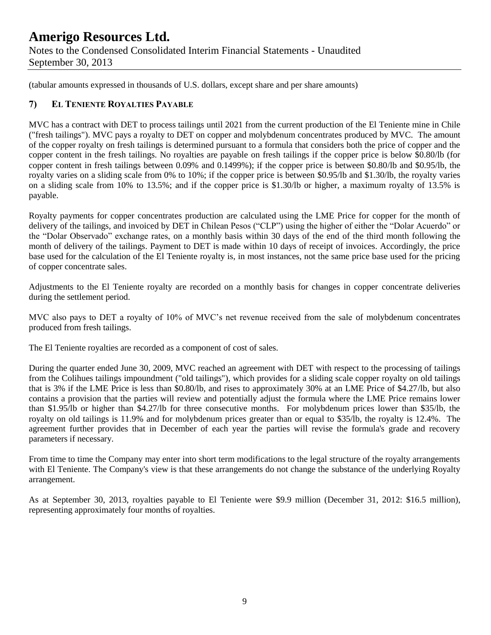(tabular amounts expressed in thousands of U.S. dollars, except share and per share amounts)

#### **7) EL TENIENTE ROYALTIES PAYABLE**

MVC has a contract with DET to process tailings until 2021 from the current production of the El Teniente mine in Chile ("fresh tailings"). MVC pays a royalty to DET on copper and molybdenum concentrates produced by MVC. The amount of the copper royalty on fresh tailings is determined pursuant to a formula that considers both the price of copper and the copper content in the fresh tailings. No royalties are payable on fresh tailings if the copper price is below \$0.80/lb (for copper content in fresh tailings between 0.09% and 0.1499%); if the copper price is between \$0.80/lb and \$0.95/lb, the royalty varies on a sliding scale from 0% to 10%; if the copper price is between \$0.95/lb and \$1.30/lb, the royalty varies on a sliding scale from 10% to 13.5%; and if the copper price is \$1.30/lb or higher, a maximum royalty of 13.5% is payable.

Royalty payments for copper concentrates production are calculated using the LME Price for copper for the month of delivery of the tailings, and invoiced by DET in Chilean Pesos ("CLP") using the higher of either the "Dolar Acuerdo" or the "Dolar Observado" exchange rates, on a monthly basis within 30 days of the end of the third month following the month of delivery of the tailings. Payment to DET is made within 10 days of receipt of invoices. Accordingly, the price base used for the calculation of the El Teniente royalty is, in most instances, not the same price base used for the pricing of copper concentrate sales.

Adjustments to the El Teniente royalty are recorded on a monthly basis for changes in copper concentrate deliveries during the settlement period.

MVC also pays to DET a royalty of 10% of MVC's net revenue received from the sale of molybdenum concentrates produced from fresh tailings.

The El Teniente royalties are recorded as a component of cost of sales.

During the quarter ended June 30, 2009, MVC reached an agreement with DET with respect to the processing of tailings from the Colihues tailings impoundment ("old tailings"), which provides for a sliding scale copper royalty on old tailings that is 3% if the LME Price is less than \$0.80/lb, and rises to approximately 30% at an LME Price of \$4.27/lb, but also contains a provision that the parties will review and potentially adjust the formula where the LME Price remains lower than \$1.95/lb or higher than \$4.27/lb for three consecutive months. For molybdenum prices lower than \$35/lb, the royalty on old tailings is 11.9% and for molybdenum prices greater than or equal to \$35/lb, the royalty is 12.4%. The agreement further provides that in December of each year the parties will revise the formula's grade and recovery parameters if necessary.

From time to time the Company may enter into short term modifications to the legal structure of the royalty arrangements with El Teniente. The Company's view is that these arrangements do not change the substance of the underlying Royalty arrangement.

As at September 30, 2013, royalties payable to El Teniente were \$9.9 million (December 31, 2012: \$16.5 million), representing approximately four months of royalties.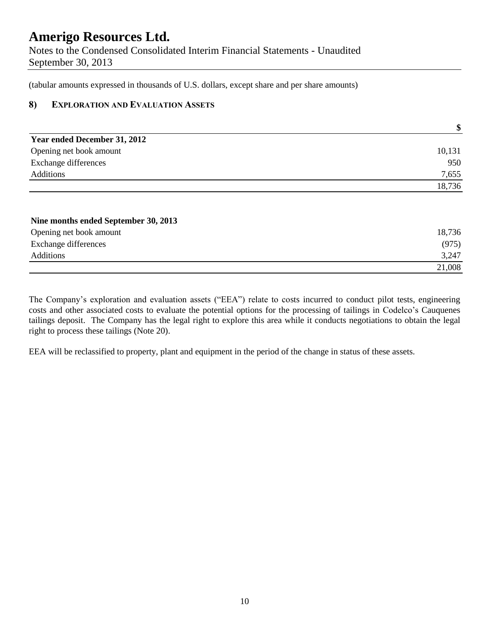(tabular amounts expressed in thousands of U.S. dollars, except share and per share amounts)

#### **8) EXPLORATION AND EVALUATION ASSETS**

|                              | \$     |
|------------------------------|--------|
| Year ended December 31, 2012 |        |
| Opening net book amount      | 10,131 |
| <b>Exchange differences</b>  | 950    |
| <b>Additions</b>             | 7,655  |
|                              | 18,736 |

| Nine months ended September 30, 2013 |        |
|--------------------------------------|--------|
| Opening net book amount              | 18,736 |
| Exchange differences                 | (975)  |
| Additions                            | 3,247  |
|                                      | 21,008 |

The Company's exploration and evaluation assets ("EEA") relate to costs incurred to conduct pilot tests, engineering costs and other associated costs to evaluate the potential options for the processing of tailings in Codelco's Cauquenes tailings deposit. The Company has the legal right to explore this area while it conducts negotiations to obtain the legal right to process these tailings (Note 20).

EEA will be reclassified to property, plant and equipment in the period of the change in status of these assets.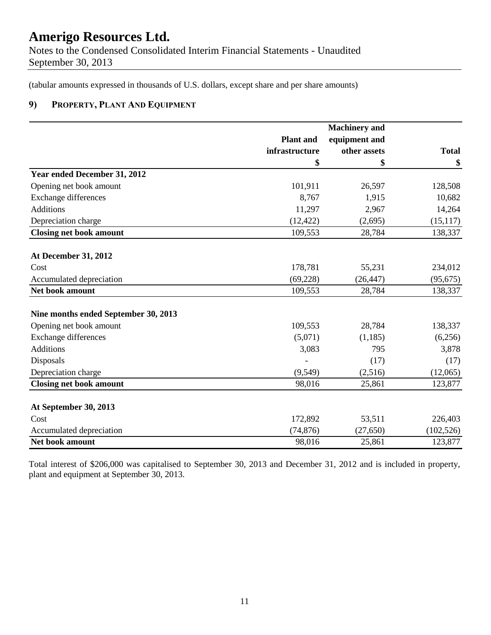Notes to the Condensed Consolidated Interim Financial Statements - Unaudited September 30, 2013

(tabular amounts expressed in thousands of U.S. dollars, except share and per share amounts)

#### **9) PROPERTY, PLANT AND EQUIPMENT**

|                                      | <b>Plant</b> and | equipment and |              |
|--------------------------------------|------------------|---------------|--------------|
|                                      | infrastructure   | other assets  | <b>Total</b> |
|                                      | \$               | \$            | \$           |
| Year ended December 31, 2012         |                  |               |              |
| Opening net book amount              | 101,911          | 26,597        | 128,508      |
| <b>Exchange differences</b>          | 8,767            | 1,915         | 10,682       |
| <b>Additions</b>                     | 11,297           | 2,967         | 14,264       |
| Depreciation charge                  | (12, 422)        | (2,695)       | (15, 117)    |
| <b>Closing net book amount</b>       | 109,553          | 28,784        | 138,337      |
|                                      |                  |               |              |
| At December 31, 2012                 |                  |               |              |
| Cost                                 | 178,781          | 55,231        | 234,012      |
| Accumulated depreciation             | (69, 228)        | (26, 447)     | (95, 675)    |
| Net book amount                      | 109,553          | 28,784        | 138,337      |
| Nine months ended September 30, 2013 |                  |               |              |
| Opening net book amount              | 109,553          | 28,784        | 138,337      |
| Exchange differences                 | (5,071)          | (1,185)       | (6,256)      |
| <b>Additions</b>                     | 3,083            | 795           | 3,878        |
| Disposals                            |                  | (17)          | (17)         |
| Depreciation charge                  | (9,549)          | (2,516)       | (12,065)     |
| <b>Closing net book amount</b>       | 98,016           | 25,861        | 123,877      |
|                                      |                  |               |              |
| At September 30, 2013                |                  |               |              |
| Cost                                 | 172,892          | 53,511        | 226,403      |
| Accumulated depreciation             | (74, 876)        | (27, 650)     | (102, 526)   |
| Net book amount                      | 98,016           | 25,861        | 123,877      |

Total interest of \$206,000 was capitalised to September 30, 2013 and December 31, 2012 and is included in property, plant and equipment at September 30, 2013.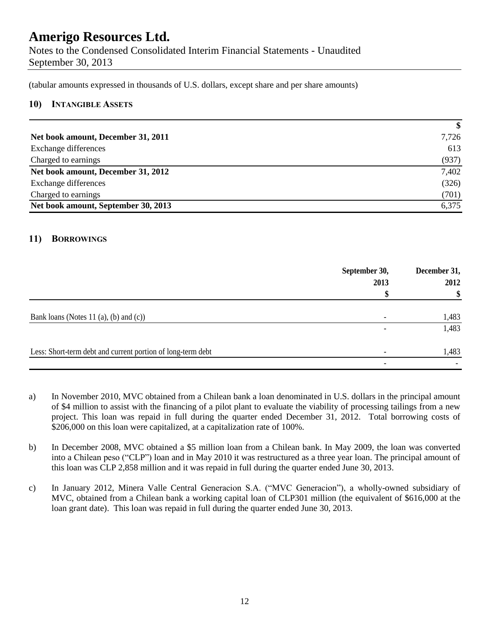Notes to the Condensed Consolidated Interim Financial Statements - Unaudited September 30, 2013

(tabular amounts expressed in thousands of U.S. dollars, except share and per share amounts)

#### **10) INTANGIBLE ASSETS**

|                                     | $\boldsymbol{\$}$ |
|-------------------------------------|-------------------|
| Net book amount, December 31, 2011  | 7,726             |
| Exchange differences                | 613               |
| Charged to earnings                 | (937)             |
| Net book amount, December 31, 2012  | 7,402             |
| Exchange differences                | (326)             |
| Charged to earnings                 | (701)             |
| Net book amount, September 30, 2013 | 6,375             |

#### **11) BORROWINGS**

|                                                             | September 30,<br>2013    | December 31,<br>2012 |
|-------------------------------------------------------------|--------------------------|----------------------|
|                                                             |                          | \$                   |
| Bank loans (Notes 11 $(a)$ , $(b)$ and $(c)$ )              |                          | 1,483                |
|                                                             |                          | 1,483                |
| Less: Short-term debt and current portion of long-term debt | $\overline{\phantom{a}}$ | 1,483                |
|                                                             | $\overline{\phantom{a}}$ |                      |

- a) In November 2010, MVC obtained from a Chilean bank a loan denominated in U.S. dollars in the principal amount of \$4 million to assist with the financing of a pilot plant to evaluate the viability of processing tailings from a new project. This loan was repaid in full during the quarter ended December 31, 2012. Total borrowing costs of \$206,000 on this loan were capitalized, at a capitalization rate of 100%.
- b) In December 2008, MVC obtained a \$5 million loan from a Chilean bank. In May 2009, the loan was converted into a Chilean peso ("CLP") loan and in May 2010 it was restructured as a three year loan. The principal amount of this loan was CLP 2,858 million and it was repaid in full during the quarter ended June 30, 2013.
- c) In January 2012, Minera Valle Central Generacion S.A. ("MVC Generacion"), a wholly-owned subsidiary of MVC, obtained from a Chilean bank a working capital loan of CLP301 million (the equivalent of \$616,000 at the loan grant date). This loan was repaid in full during the quarter ended June 30, 2013.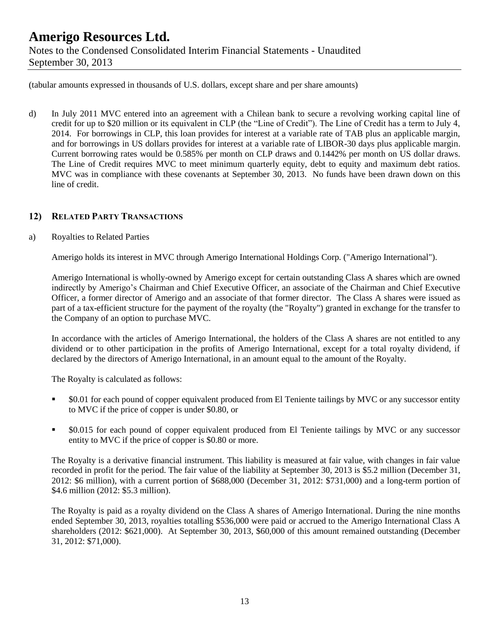(tabular amounts expressed in thousands of U.S. dollars, except share and per share amounts)

d) In July 2011 MVC entered into an agreement with a Chilean bank to secure a revolving working capital line of credit for up to \$20 million or its equivalent in CLP (the "Line of Credit"). The Line of Credit has a term to July 4, 2014. For borrowings in CLP, this loan provides for interest at a variable rate of TAB plus an applicable margin, and for borrowings in US dollars provides for interest at a variable rate of LIBOR-30 days plus applicable margin. Current borrowing rates would be 0.585% per month on CLP draws and 0.1442% per month on US dollar draws. The Line of Credit requires MVC to meet minimum quarterly equity, debt to equity and maximum debt ratios. MVC was in compliance with these covenants at September 30, 2013. No funds have been drawn down on this line of credit.

#### **12) RELATED PARTY TRANSACTIONS**

#### a) Royalties to Related Parties

Amerigo holds its interest in MVC through Amerigo International Holdings Corp. ("Amerigo International").

Amerigo International is wholly-owned by Amerigo except for certain outstanding Class A shares which are owned indirectly by Amerigo's Chairman and Chief Executive Officer, an associate of the Chairman and Chief Executive Officer, a former director of Amerigo and an associate of that former director. The Class A shares were issued as part of a tax-efficient structure for the payment of the royalty (the "Royalty") granted in exchange for the transfer to the Company of an option to purchase MVC.

In accordance with the articles of Amerigo International, the holders of the Class A shares are not entitled to any dividend or to other participation in the profits of Amerigo International, except for a total royalty dividend, if declared by the directors of Amerigo International, in an amount equal to the amount of the Royalty.

The Royalty is calculated as follows:

- \$0.01 for each pound of copper equivalent produced from El Teniente tailings by MVC or any successor entity to MVC if the price of copper is under \$0.80, or
- \$0.015 for each pound of copper equivalent produced from El Teniente tailings by MVC or any successor entity to MVC if the price of copper is \$0.80 or more.

The Royalty is a derivative financial instrument. This liability is measured at fair value, with changes in fair value recorded in profit for the period. The fair value of the liability at September 30, 2013 is \$5.2 million (December 31, 2012: \$6 million), with a current portion of \$688,000 (December 31, 2012: \$731,000) and a long-term portion of \$4.6 million (2012: \$5.3 million).

The Royalty is paid as a royalty dividend on the Class A shares of Amerigo International. During the nine months ended September 30, 2013, royalties totalling \$536,000 were paid or accrued to the Amerigo International Class A shareholders (2012: \$621,000). At September 30, 2013, \$60,000 of this amount remained outstanding (December 31, 2012: \$71,000).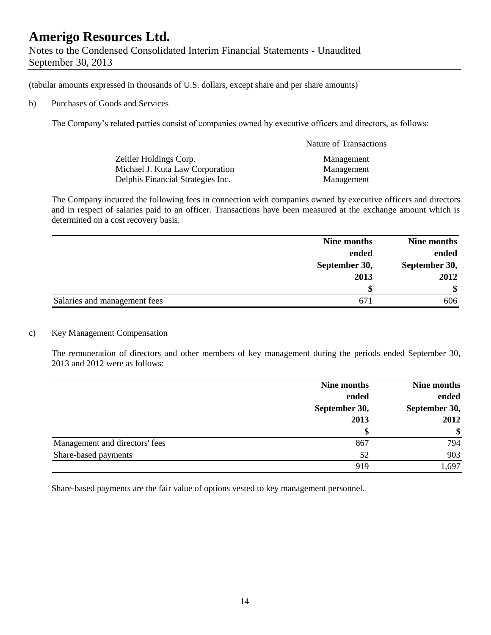September 30, 2013

(tabular amounts expressed in thousands of U.S. dollars, except share and per share amounts)

#### b) Purchases of Goods and Services

The Company's related parties consist of companies owned by executive officers and directors, as follows:

|                                   | <b>Nature of Transactions</b> |
|-----------------------------------|-------------------------------|
| Zeitler Holdings Corp.            | Management                    |
| Michael J. Kuta Law Corporation   | Management                    |
| Delphis Financial Strategies Inc. | Management                    |

The Company incurred the following fees in connection with companies owned by executive officers and directors and in respect of salaries paid to an officer. Transactions have been measured at the exchange amount which is determined on a cost recovery basis.

|                              | Nine months   | Nine months   |  |
|------------------------------|---------------|---------------|--|
|                              | ended         | ended         |  |
|                              | September 30, | September 30, |  |
|                              | 2013          | 2012          |  |
|                              |               | \$            |  |
| Salaries and management fees |               | 606           |  |

#### c) Key Management Compensation

The remuneration of directors and other members of key management during the periods ended September 30, 2013 and 2012 were as follows:

|                                | Nine months   | Nine months   |
|--------------------------------|---------------|---------------|
|                                | ended         | ended         |
|                                | September 30, | September 30, |
|                                | 2013          | 2012          |
|                                | \$            | $\frac{1}{2}$ |
| Management and directors' fees | 867           | 794           |
| Share-based payments           | 52            | 903           |
|                                | 919           | 1,697         |

Share-based payments are the fair value of options vested to key management personnel.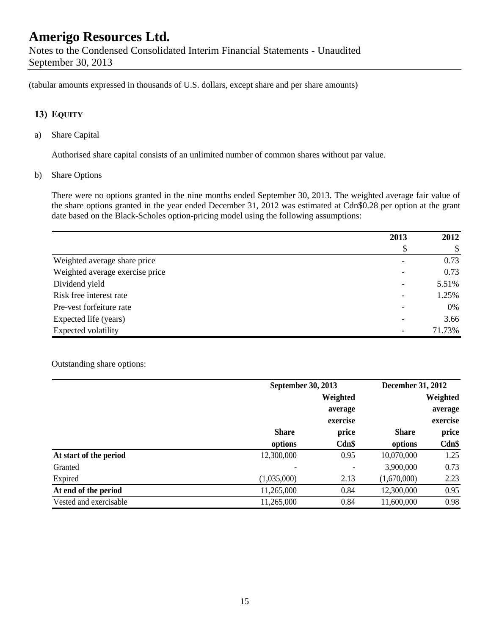Notes to the Condensed Consolidated Interim Financial Statements - Unaudited September 30, 2013

(tabular amounts expressed in thousands of U.S. dollars, except share and per share amounts)

#### **13) EQUITY**

a) Share Capital

Authorised share capital consists of an unlimited number of common shares without par value.

b) Share Options

There were no options granted in the nine months ended September 30, 2013. The weighted average fair value of the share options granted in the year ended December 31, 2012 was estimated at Cdn\$0.28 per option at the grant date based on the Black-Scholes option-pricing model using the following assumptions:

|                                 | 2013 | 2012   |
|---------------------------------|------|--------|
|                                 | \$   | \$     |
| Weighted average share price    |      | 0.73   |
| Weighted average exercise price |      | 0.73   |
| Dividend yield                  |      | 5.51%  |
| Risk free interest rate         |      | 1.25%  |
| Pre-vest forfeiture rate        |      | 0%     |
| Expected life (years)           |      | 3.66   |
| Expected volatility             |      | 71.73% |

#### Outstanding share options:

|                        |              | September 30, 2013 |              | December 31, 2012 |  |  |
|------------------------|--------------|--------------------|--------------|-------------------|--|--|
|                        |              | Weighted           |              | Weighted          |  |  |
|                        |              | average            |              | average           |  |  |
|                        |              | exercise           |              | exercise          |  |  |
|                        | <b>Share</b> | price              | <b>Share</b> | price             |  |  |
|                        | options      | Cdn\$              | options      | $Cdn$ \$          |  |  |
| At start of the period | 12,300,000   | 0.95               | 10,070,000   | 1.25              |  |  |
| Granted                | ۰            |                    | 3,900,000    | 0.73              |  |  |
| Expired                | (1,035,000)  | 2.13               | (1,670,000)  | 2.23              |  |  |
| At end of the period   | 11,265,000   | 0.84               | 12,300,000   | 0.95              |  |  |
| Vested and exercisable | 11,265,000   | 0.84               | 11,600,000   | 0.98              |  |  |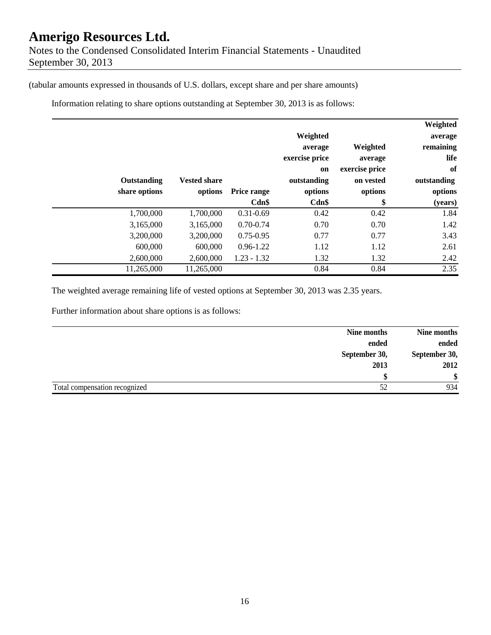(tabular amounts expressed in thousands of U.S. dollars, except share and per share amounts)

Information relating to share options outstanding at September 30, 2013 is as follows:

|               |                     |               |                |                | Weighted    |
|---------------|---------------------|---------------|----------------|----------------|-------------|
|               |                     |               | Weighted       |                | average     |
|               |                     |               | average        | Weighted       | remaining   |
|               |                     |               | exercise price | average        | life        |
|               |                     |               | <b>on</b>      | exercise price | of          |
| Outstanding   | <b>Vested share</b> |               | outstanding    | on vested      | outstanding |
| share options | options             | Price range   | options        | options        | options     |
|               |                     | Cdn\$         | Cdn\$          | \$             | (years)     |
| 1,700,000     | 1,700,000           | $0.31 - 0.69$ | 0.42           | 0.42           | 1.84        |
| 3,165,000     | 3,165,000           | $0.70 - 0.74$ | 0.70           | 0.70           | 1.42        |
| 3,200,000     | 3,200,000           | $0.75 - 0.95$ | 0.77           | 0.77           | 3.43        |
| 600,000       | 600,000             | $0.96 - 1.22$ | 1.12           | 1.12           | 2.61        |
| 2,600,000     | 2,600,000           | $1.23 - 1.32$ | 1.32           | 1.32           | 2.42        |
| 11,265,000    | 11,265,000          |               | 0.84           | 0.84           | 2.35        |

The weighted average remaining life of vested options at September 30, 2013 was 2.35 years.

Further information about share options is as follows:

|                               | Nine months |                      |
|-------------------------------|-------------|----------------------|
| ended                         |             | Nine months<br>ended |
| September 30,                 |             | September 30,        |
| 2013                          |             | 2012                 |
|                               |             | \$                   |
| Total compensation recognized |             | 934                  |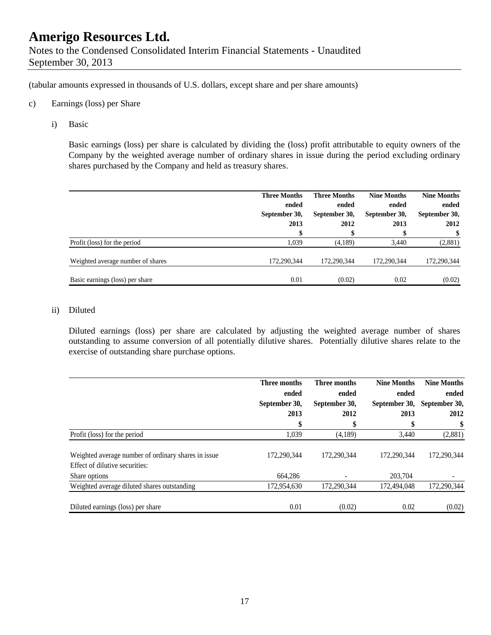(tabular amounts expressed in thousands of U.S. dollars, except share and per share amounts)

#### c) Earnings (loss) per Share

i) Basic

Basic earnings (loss) per share is calculated by dividing the (loss) profit attributable to equity owners of the Company by the weighted average number of ordinary shares in issue during the period excluding ordinary shares purchased by the Company and held as treasury shares.

|                                   | <b>Three Months</b><br>ended<br>September 30,<br>2013 | <b>Three Months</b><br>ended<br>September 30,<br>2012 | <b>Nine Months</b><br>ended<br>September 30,<br>2013 | <b>Nine Months</b><br>ended<br>September 30,<br>2012 |
|-----------------------------------|-------------------------------------------------------|-------------------------------------------------------|------------------------------------------------------|------------------------------------------------------|
| Profit (loss) for the period      | 1.039                                                 | (4,189)                                               | 3.440                                                | (2,881)                                              |
| Weighted average number of shares | 172.290.344                                           | 172,290,344                                           | 172,290,344                                          | 172,290,344                                          |
| Basic earnings (loss) per share   | 0.01                                                  | (0.02)                                                | 0.02                                                 | (0.02)                                               |

#### ii) Diluted

Diluted earnings (loss) per share are calculated by adjusting the weighted average number of shares outstanding to assume conversion of all potentially dilutive shares. Potentially dilutive shares relate to the exercise of outstanding share purchase options.

|                                                                                       | Three months  | Three months  | <b>Nine Months</b> | <b>Nine Months</b> |
|---------------------------------------------------------------------------------------|---------------|---------------|--------------------|--------------------|
|                                                                                       | ended         | ended         | ended              | ended              |
|                                                                                       | September 30, | September 30, | September 30,      | September 30,      |
|                                                                                       | 2013          | 2012          | 2013               | 2012               |
|                                                                                       | \$            | \$            | \$                 |                    |
| Profit (loss) for the period                                                          | 1,039         | (4,189)       | 3,440              | (2,881)            |
| Weighted average number of ordinary shares in issue<br>Effect of dilutive securities: | 172,290,344   | 172,290,344   | 172,290,344        | 172,290,344        |
| Share options                                                                         | 664,286       |               | 203.704            |                    |
| Weighted average diluted shares outstanding                                           | 172,954,630   | 172,290,344   | 172,494,048        | 172,290,344        |
| Diluted earnings (loss) per share                                                     | 0.01          | (0.02)        | 0.02               | (0.02)             |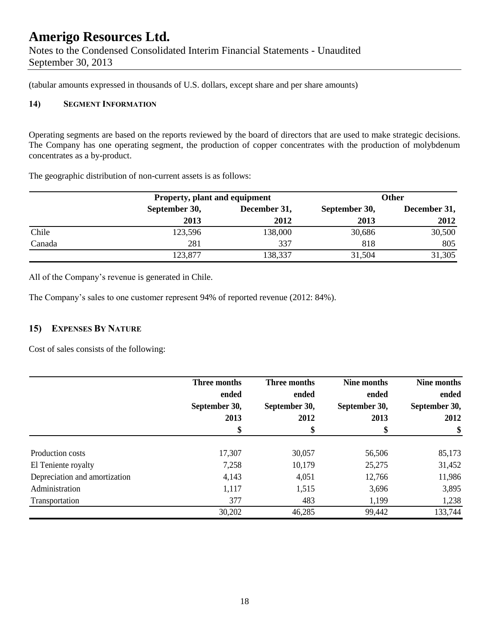(tabular amounts expressed in thousands of U.S. dollars, except share and per share amounts)

#### **14) SEGMENT INFORMATION**

Operating segments are based on the reports reviewed by the board of directors that are used to make strategic decisions. The Company has one operating segment, the production of copper concentrates with the production of molybdenum concentrates as a by-product.

The geographic distribution of non-current assets is as follows:

|        |               | Property, plant and equipment |               | <b>Other</b> |
|--------|---------------|-------------------------------|---------------|--------------|
|        | September 30, | December 31,                  | September 30, | December 31, |
|        | 2013          | 2012                          | 2013          | 2012         |
| Chile  | 123,596       | 138,000                       | 30,686        | 30,500       |
| Canada | 281           | 337                           | 818           | 805          |
|        | 123,877       | 138,337                       | 31,504        | 31,305       |

All of the Company's revenue is generated in Chile.

The Company's sales to one customer represent 94% of reported revenue (2012: 84%).

#### **15) EXPENSES BY NATURE**

Cost of sales consists of the following:

|                               | Three months<br>ended | Three months<br>ended | Nine months<br>ended | Nine months<br>ended |
|-------------------------------|-----------------------|-----------------------|----------------------|----------------------|
|                               | September 30,         | September 30,         | September 30,        | September 30,        |
|                               | 2013                  | 2012                  | 2013                 | 2012                 |
|                               | \$                    | \$                    | \$                   | \$                   |
| Production costs              | 17,307                | 30,057                | 56,506               | 85,173               |
| El Teniente royalty           | 7,258                 | 10,179                | 25,275               | 31,452               |
| Depreciation and amortization | 4,143                 | 4,051                 | 12,766               | 11,986               |
| Administration                | 1,117                 | 1,515                 | 3,696                | 3,895                |
| Transportation                | 377                   | 483                   | 1,199                | 1,238                |
|                               | 30,202                | 46,285                | 99,442               | 133,744              |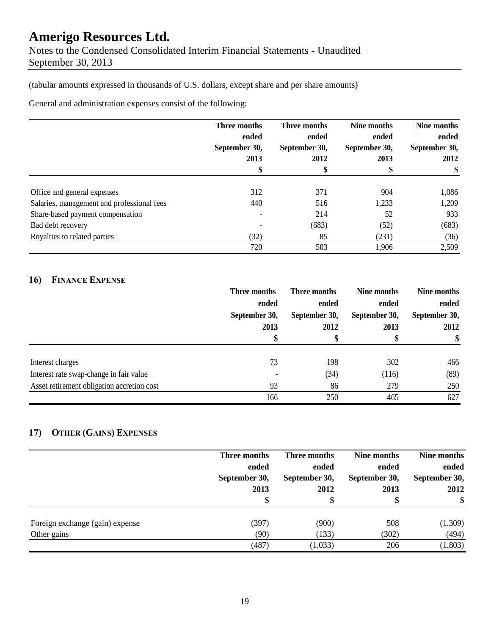(tabular amounts expressed in thousands of U.S. dollars, except share and per share amounts)

General and administration expenses consist of the following:

|                                            | Three months<br>ended<br>September 30,<br>2013 | Three months<br>ended<br>September 30,<br>2012 | Nine months<br>ended<br>September 30,<br>2013 | Nine months<br>ended<br>September 30,<br>2012 |
|--------------------------------------------|------------------------------------------------|------------------------------------------------|-----------------------------------------------|-----------------------------------------------|
|                                            |                                                |                                                |                                               |                                               |
|                                            |                                                |                                                |                                               |                                               |
|                                            |                                                |                                                |                                               |                                               |
|                                            | \$                                             |                                                |                                               | \$                                            |
| Office and general expenses                | 312                                            | 371                                            | 904                                           | 1,086                                         |
| Salaries, management and professional fees | 440                                            | 516                                            | 1,233                                         | 1,209                                         |
| Share-based payment compensation           |                                                | 214                                            | 52                                            | 933                                           |
| Bad debt recovery                          |                                                | (683)                                          | (52)                                          | (683)                                         |
| Royalties to related parties               | (32)                                           | 85                                             | (231)                                         | (36)                                          |
|                                            | 720                                            | 503                                            | 1,906                                         | 2,509                                         |

#### **16) FINANCE EXPENSE**

|                                            | Three months<br>ended<br>September 30,<br>2013<br>\$ | Three months                   | Nine months<br>ended<br>September 30,<br>2013<br>Φ | Nine months<br>ended<br>September 30,<br>2012<br>\$ |
|--------------------------------------------|------------------------------------------------------|--------------------------------|----------------------------------------------------|-----------------------------------------------------|
|                                            |                                                      | ended<br>September 30,<br>2012 |                                                    |                                                     |
|                                            |                                                      |                                |                                                    |                                                     |
|                                            |                                                      |                                |                                                    |                                                     |
|                                            |                                                      |                                |                                                    |                                                     |
|                                            |                                                      |                                |                                                    |                                                     |
| Interest charges                           | 73                                                   | 198                            | 302                                                | 466                                                 |
| Interest rate swap-change in fair value    |                                                      | (34)                           | (116)                                              | (89)                                                |
| Asset retirement obligation accretion cost | 93                                                   | 86                             | 279                                                | 250                                                 |
|                                            | 166                                                  | 250                            | 465                                                | 627                                                 |

#### **17) OTHER (GAINS) EXPENSES**

|                                 | Three months  | Three months  | Nine months   | Nine months   |
|---------------------------------|---------------|---------------|---------------|---------------|
|                                 | ended         | ended         | ended         | ended         |
|                                 | September 30, | September 30, | September 30, | September 30, |
|                                 | 2013          | 2012          | 2013          | 2012          |
|                                 | \$            | S             | \$            | \$            |
| Foreign exchange (gain) expense | (397)         | (900)         | 508           | (1,309)       |
| Other gains                     | (90)          | (133)         | (302)         | (494)         |
|                                 | (487)         | (1,033)       | 206           | (1,803)       |